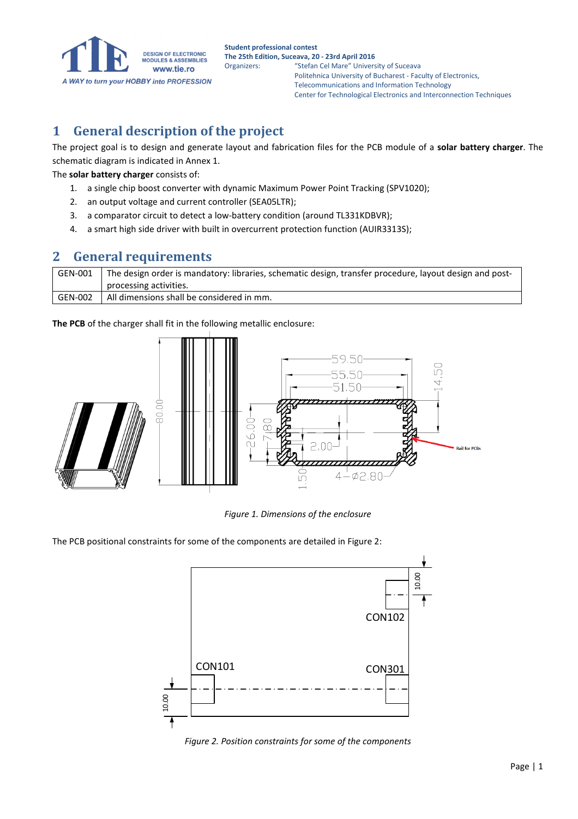

#### **1 General description of the project**

The project goal is to design and generate layout and fabrication files for the PCB module of a **solar battery charger**. The schematic diagram is indicated in Annex 1.

The **solar battery charger** consists of:

- 1. a single chip boost converter with dynamic Maximum Power Point Tracking (SPV1020);
- 2. an output voltage and current controller (SEA05LTR);
- 3. a comparator circuit to detect a low-battery condition (around TL331KDBVR);
- 4. a smart high side driver with built in overcurrent protection function (AUIR3313S);

#### **2 General requirements**

| GEN-001 | The design order is mandatory: libraries, schematic design, transfer procedure, layout design and post- |  |
|---------|---------------------------------------------------------------------------------------------------------|--|
|         | processing activities.                                                                                  |  |
| GEN-002 | All dimensions shall be considered in mm.                                                               |  |

**The PCB** of the charger shall fit in the following metallic enclosure:



*Figure 1. Dimensions of the enclosure* 

The PCB positional constraints for some of the components are detailed in Figure 2:



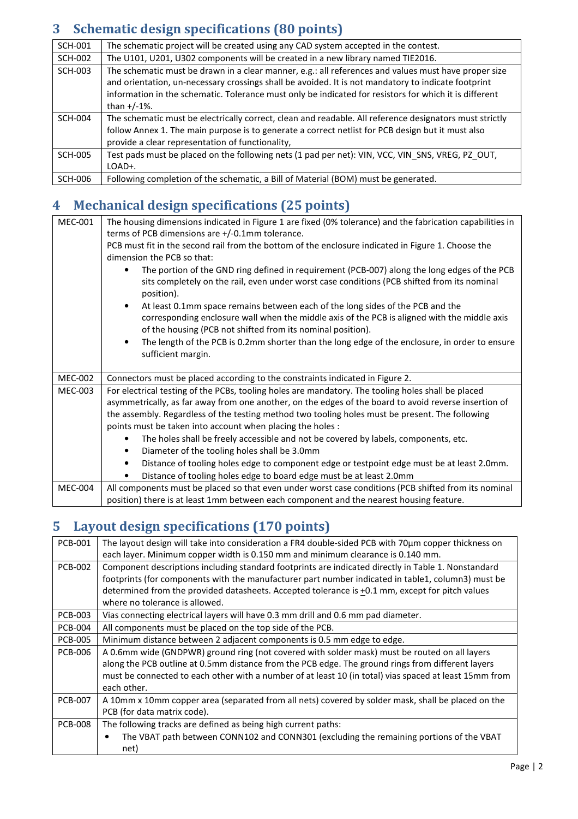## **3 Schematic design specifications (80 points)**

| <b>SCH-001</b> | The schematic project will be created using any CAD system accepted in the contest.                                                                                                                                                                                                                                                      |  |  |
|----------------|------------------------------------------------------------------------------------------------------------------------------------------------------------------------------------------------------------------------------------------------------------------------------------------------------------------------------------------|--|--|
| <b>SCH-002</b> | The U101, U201, U302 components will be created in a new library named TIE2016.                                                                                                                                                                                                                                                          |  |  |
| <b>SCH-003</b> | The schematic must be drawn in a clear manner, e.g.: all references and values must have proper size<br>and orientation, un-necessary crossings shall be avoided. It is not mandatory to indicate footprint<br>information in the schematic. Tolerance must only be indicated for resistors for which it is different<br>than $+/-1\%$ . |  |  |
| SCH-004        | The schematic must be electrically correct, clean and readable. All reference designators must strictly<br>follow Annex 1. The main purpose is to generate a correct netlist for PCB design but it must also<br>provide a clear representation of functionality,                                                                         |  |  |
| <b>SCH-005</b> | Test pads must be placed on the following nets (1 pad per net): VIN, VCC, VIN_SNS, VREG, PZ_OUT,<br>LOAD+.                                                                                                                                                                                                                               |  |  |
| SCH-006        | Following completion of the schematic, a Bill of Material (BOM) must be generated.                                                                                                                                                                                                                                                       |  |  |

### **4 Mechanical design specifications (25 points)**

| <b>MEC-001</b> | The housing dimensions indicated in Figure 1 are fixed (0% tolerance) and the fabrication capabilities in                                                                                                 |  |  |  |  |
|----------------|-----------------------------------------------------------------------------------------------------------------------------------------------------------------------------------------------------------|--|--|--|--|
|                | terms of PCB dimensions are +/-0.1mm tolerance.                                                                                                                                                           |  |  |  |  |
|                | PCB must fit in the second rail from the bottom of the enclosure indicated in Figure 1. Choose the                                                                                                        |  |  |  |  |
|                | dimension the PCB so that:                                                                                                                                                                                |  |  |  |  |
|                | The portion of the GND ring defined in requirement (PCB-007) along the long edges of the PCB<br>sits completely on the rail, even under worst case conditions (PCB shifted from its nominal<br>position). |  |  |  |  |
|                | At least 0.1mm space remains between each of the long sides of the PCB and the<br>$\bullet$<br>corresponding enclosure wall when the middle axis of the PCB is aligned with the middle axis               |  |  |  |  |
|                | of the housing (PCB not shifted from its nominal position).                                                                                                                                               |  |  |  |  |
|                | The length of the PCB is 0.2mm shorter than the long edge of the enclosure, in order to ensure                                                                                                            |  |  |  |  |
|                | sufficient margin.                                                                                                                                                                                        |  |  |  |  |
|                |                                                                                                                                                                                                           |  |  |  |  |
| <b>MEC-002</b> | Connectors must be placed according to the constraints indicated in Figure 2.                                                                                                                             |  |  |  |  |
| <b>MEC-003</b> | For electrical testing of the PCBs, tooling holes are mandatory. The tooling holes shall be placed                                                                                                        |  |  |  |  |
|                | asymmetrically, as far away from one another, on the edges of the board to avoid reverse insertion of                                                                                                     |  |  |  |  |
|                | the assembly. Regardless of the testing method two tooling holes must be present. The following                                                                                                           |  |  |  |  |
|                | points must be taken into account when placing the holes :                                                                                                                                                |  |  |  |  |
|                | The holes shall be freely accessible and not be covered by labels, components, etc.                                                                                                                       |  |  |  |  |
|                | Diameter of the tooling holes shall be 3.0mm<br>$\bullet$                                                                                                                                                 |  |  |  |  |
|                | Distance of tooling holes edge to component edge or testpoint edge must be at least 2.0mm.                                                                                                                |  |  |  |  |
|                |                                                                                                                                                                                                           |  |  |  |  |
|                | Distance of tooling holes edge to board edge must be at least 2.0mm                                                                                                                                       |  |  |  |  |
| <b>MEC-004</b> | All components must be placed so that even under worst case conditions (PCB shifted from its nominal                                                                                                      |  |  |  |  |

## **5 Layout design specifications (170 points)**

| <b>PCB-001</b> | The layout design will take into consideration a FR4 double-sided PCB with 70µm copper thickness on    |  |  |  |  |
|----------------|--------------------------------------------------------------------------------------------------------|--|--|--|--|
|                | each layer. Minimum copper width is 0.150 mm and minimum clearance is 0.140 mm.                        |  |  |  |  |
| <b>PCB-002</b> | Component descriptions including standard footprints are indicated directly in Table 1. Nonstandard    |  |  |  |  |
|                | footprints (for components with the manufacturer part number indicated in table1, column3) must be     |  |  |  |  |
|                | determined from the provided datasheets. Accepted tolerance is +0.1 mm, except for pitch values        |  |  |  |  |
|                | where no tolerance is allowed.                                                                         |  |  |  |  |
| <b>PCB-003</b> | Vias connecting electrical layers will have 0.3 mm drill and 0.6 mm pad diameter.                      |  |  |  |  |
| <b>PCB-004</b> | All components must be placed on the top side of the PCB.                                              |  |  |  |  |
| <b>PCB-005</b> | Minimum distance between 2 adjacent components is 0.5 mm edge to edge.                                 |  |  |  |  |
| <b>PCB-006</b> | A 0.6mm wide (GNDPWR) ground ring (not covered with solder mask) must be routed on all layers          |  |  |  |  |
|                | along the PCB outline at 0.5mm distance from the PCB edge. The ground rings from different layers      |  |  |  |  |
|                | must be connected to each other with a number of at least 10 (in total) vias spaced at least 15mm from |  |  |  |  |
|                | each other.                                                                                            |  |  |  |  |
| <b>PCB-007</b> | A 10mm x 10mm copper area (separated from all nets) covered by solder mask, shall be placed on the     |  |  |  |  |
|                | PCB (for data matrix code).                                                                            |  |  |  |  |
| <b>PCB-008</b> | The following tracks are defined as being high current paths:                                          |  |  |  |  |
|                | The VBAT path between CONN102 and CONN301 (excluding the remaining portions of the VBAT                |  |  |  |  |
|                | net)                                                                                                   |  |  |  |  |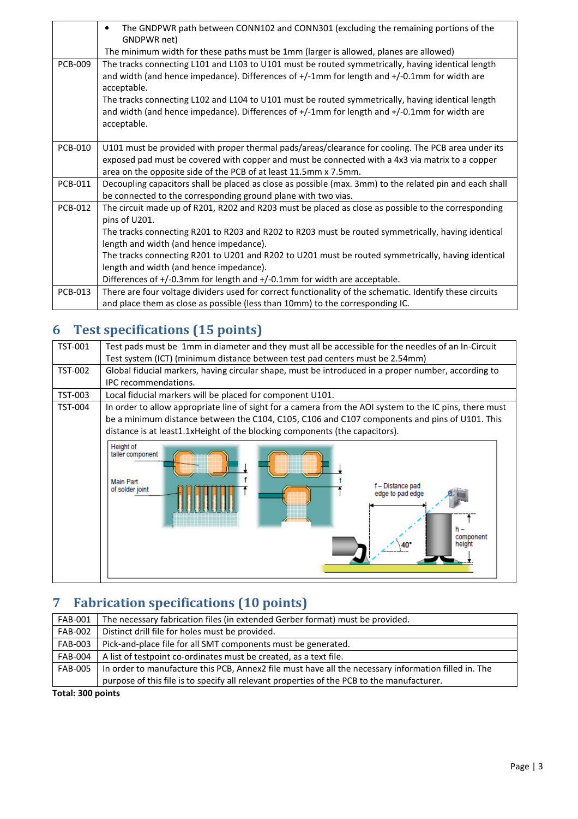|                | The GNDPWR path between CONN102 and CONN301 (excluding the remaining portions of the<br>$\bullet$<br>GNDPWR net)                                                                                                                                                                                                                                                                                                                                                                                    |  |  |  |
|----------------|-----------------------------------------------------------------------------------------------------------------------------------------------------------------------------------------------------------------------------------------------------------------------------------------------------------------------------------------------------------------------------------------------------------------------------------------------------------------------------------------------------|--|--|--|
|                | The minimum width for these paths must be 1mm (larger is allowed, planes are allowed)                                                                                                                                                                                                                                                                                                                                                                                                               |  |  |  |
| <b>PCB-009</b> | The tracks connecting L101 and L103 to U101 must be routed symmetrically, having identical length<br>and width (and hence impedance). Differences of +/-1mm for length and +/-0.1mm for width are<br>acceptable.<br>The tracks connecting L102 and L104 to U101 must be routed symmetrically, having identical length<br>and width (and hence impedance). Differences of +/-1mm for length and +/-0.1mm for width are<br>acceptable.                                                                |  |  |  |
| <b>PCB-010</b> | U101 must be provided with proper thermal pads/areas/clearance for cooling. The PCB area under its<br>exposed pad must be covered with copper and must be connected with a 4x3 via matrix to a copper<br>area on the opposite side of the PCB of at least 11.5mm x 7.5mm.                                                                                                                                                                                                                           |  |  |  |
| <b>PCB-011</b> | Decoupling capacitors shall be placed as close as possible (max. 3mm) to the related pin and each shall<br>be connected to the corresponding ground plane with two vias.                                                                                                                                                                                                                                                                                                                            |  |  |  |
| <b>PCB-012</b> | The circuit made up of R201, R202 and R203 must be placed as close as possible to the corresponding<br>pins of U201.<br>The tracks connecting R201 to R203 and R202 to R203 must be routed symmetrically, having identical<br>length and width (and hence impedance).<br>The tracks connecting R201 to U201 and R202 to U201 must be routed symmetrically, having identical<br>length and width (and hence impedance).<br>Differences of +/-0.3mm for length and +/-0.1mm for width are acceptable. |  |  |  |
| <b>PCB-013</b> | There are four voltage dividers used for correct functionality of the schematic. Identify these circuits<br>and place them as close as possible (less than 10mm) to the corresponding IC.                                                                                                                                                                                                                                                                                                           |  |  |  |

# **6 Test specifications (15 points)**

| <b>TST-001</b> | Test pads must be 1mm in diameter and they must all be accessible for the needles of an In-Circuit<br>Test system (ICT) (minimum distance between test pad centers must be 2.54mm)                                                                                                                          |  |  |  |  |
|----------------|-------------------------------------------------------------------------------------------------------------------------------------------------------------------------------------------------------------------------------------------------------------------------------------------------------------|--|--|--|--|
| TST-002        | Global fiducial markers, having circular shape, must be introduced in a proper number, according to<br>IPC recommendations.                                                                                                                                                                                 |  |  |  |  |
| TST-003        | Local fiducial markers will be placed for component U101.                                                                                                                                                                                                                                                   |  |  |  |  |
| TST-004        | In order to allow appropriate line of sight for a camera from the AOI system to the IC pins, there must<br>be a minimum distance between the C104, C105, C106 and C107 components and pins of U101. This<br>distance is at least1.1xHeight of the blocking components (the capacitors).<br><b>Height of</b> |  |  |  |  |
|                | taller component<br><b>Main Part</b><br>f - Distance pad<br>of solder joint<br>edge to pad edge<br>h –<br>component<br>height                                                                                                                                                                               |  |  |  |  |

# **7 Fabrication specifications (10 points)**

| FAB-001              | The necessary fabrication files (in extended Gerber format) must be provided.                        |
|----------------------|------------------------------------------------------------------------------------------------------|
| <b>FAB-002</b>       | Distinct drill file for holes must be provided.                                                      |
| <b>FAB-003</b>       | Pick-and-place file for all SMT components must be generated.                                        |
| <b>FAB-004</b>       | A list of testpoint co-ordinates must be created, as a text file.                                    |
| <b>FAB-005</b>       | In order to manufacture this PCB, Annex2 file must have all the necessary information filled in. The |
|                      | purpose of this file is to specify all relevant properties of the PCB to the manufacturer.           |
| $T0$ tali 200 nointe |                                                                                                      |

**Total: 300 points**